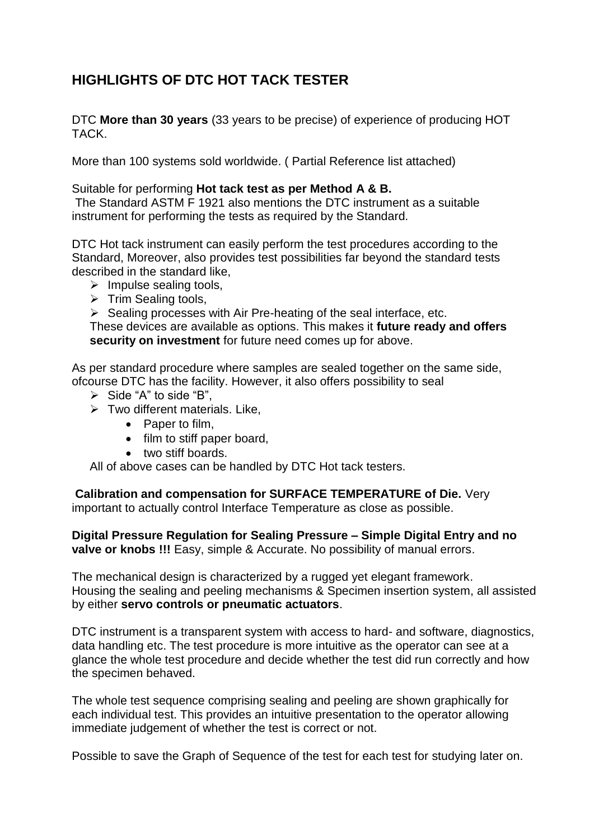## **HIGHLIGHTS OF DTC HOT TACK TESTER**

DTC **More than 30 years** (33 years to be precise) of experience of producing HOT TACK.

More than 100 systems sold worldwide. ( Partial Reference list attached)

## Suitable for performing **Hot tack test as per Method A & B.**

The Standard ASTM F 1921 also mentions the DTC instrument as a suitable instrument for performing the tests as required by the Standard.

DTC Hot tack instrument can easily perform the test procedures according to the Standard, Moreover, also provides test possibilities far beyond the standard tests described in the standard like,

- $\triangleright$  Impulse sealing tools,
- $\triangleright$  Trim Sealing tools,
- $\triangleright$  Sealing processes with Air Pre-heating of the seal interface, etc.

These devices are available as options. This makes it **future ready and offers security on investment** for future need comes up for above.

As per standard procedure where samples are sealed together on the same side, ofcourse DTC has the facility. However, it also offers possibility to seal

- $\triangleright$  Side "A" to side "B".
- $\triangleright$  Two different materials. Like,
	- Paper to film,
	- film to stiff paper board,
	- two stiff boards.

All of above cases can be handled by DTC Hot tack testers.

**Calibration and compensation for SURFACE TEMPERATURE of Die.** Very important to actually control Interface Temperature as close as possible.

**Digital Pressure Regulation for Sealing Pressure – Simple Digital Entry and no valve or knobs !!!** Easy, simple & Accurate. No possibility of manual errors.

The mechanical design is characterized by a rugged yet elegant framework. Housing the sealing and peeling mechanisms & Specimen insertion system, all assisted by either **servo controls or pneumatic actuators**.

DTC instrument is a transparent system with access to hard- and software, diagnostics, data handling etc. The test procedure is more intuitive as the operator can see at a glance the whole test procedure and decide whether the test did run correctly and how the specimen behaved.

The whole test sequence comprising sealing and peeling are shown graphically for each individual test. This provides an intuitive presentation to the operator allowing immediate judgement of whether the test is correct or not.

Possible to save the Graph of Sequence of the test for each test for studying later on.